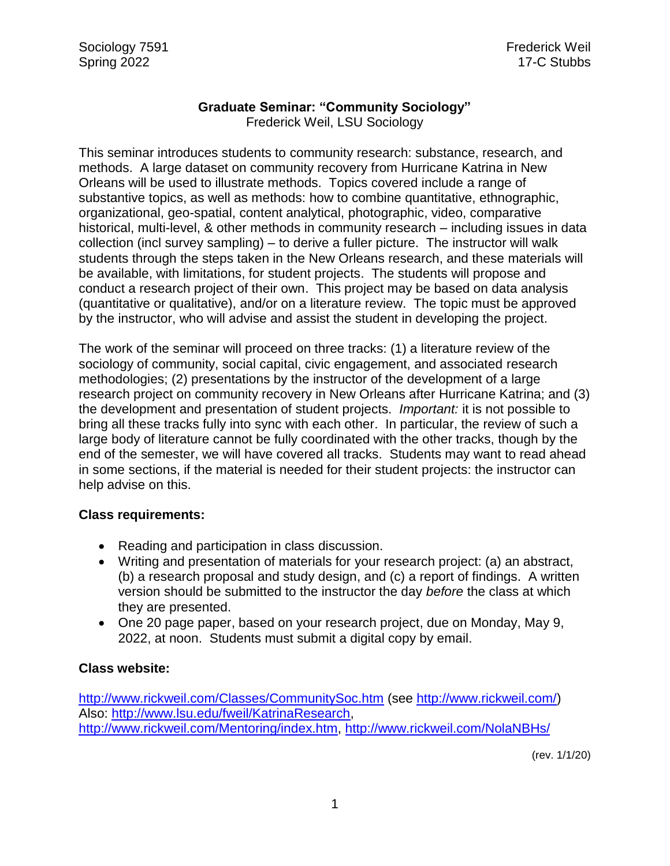# **Graduate Seminar: "Community Sociology"**

Frederick Weil, LSU Sociology

This seminar introduces students to community research: substance, research, and methods. A large dataset on community recovery from Hurricane Katrina in New Orleans will be used to illustrate methods. Topics covered include a range of substantive topics, as well as methods: how to combine quantitative, ethnographic, organizational, geo-spatial, content analytical, photographic, video, comparative historical, multi-level, & other methods in community research – including issues in data collection (incl survey sampling) – to derive a fuller picture. The instructor will walk students through the steps taken in the New Orleans research, and these materials will be available, with limitations, for student projects. The students will propose and conduct a research project of their own. This project may be based on data analysis (quantitative or qualitative), and/or on a literature review. The topic must be approved by the instructor, who will advise and assist the student in developing the project.

The work of the seminar will proceed on three tracks: (1) a literature review of the sociology of community, social capital, civic engagement, and associated research methodologies; (2) presentations by the instructor of the development of a large research project on community recovery in New Orleans after Hurricane Katrina; and (3) the development and presentation of student projects. *Important:* it is not possible to bring all these tracks fully into sync with each other. In particular, the review of such a large body of literature cannot be fully coordinated with the other tracks, though by the end of the semester, we will have covered all tracks. Students may want to read ahead in some sections, if the material is needed for their student projects: the instructor can help advise on this.

# **Class requirements:**

- Reading and participation in class discussion.
- Writing and presentation of materials for your research project: (a) an abstract, (b) a research proposal and study design, and (c) a report of findings. A written version should be submitted to the instructor the day *before* the class at which they are presented.
- One 20 page paper, based on your research project, due on Monday, May 9, 2022, at noon. Students must submit a digital copy by email.

# **Class website:**

<http://www.rickweil.com/Classes/CommunitySoc.htm> (see [http://www.rickweil.com/\)](http://www.rickweil.com/) Also: [http://www.lsu.edu/fweil/KatrinaResearch,](http://www.lsu.edu/fweil/KatrinaResearch) [http://www.rickweil.com/Mentoring/index.htm,](http://www.rickweil.com/Mentoring/index.htm)<http://www.rickweil.com/NolaNBHs/>

(rev. 1/1/20)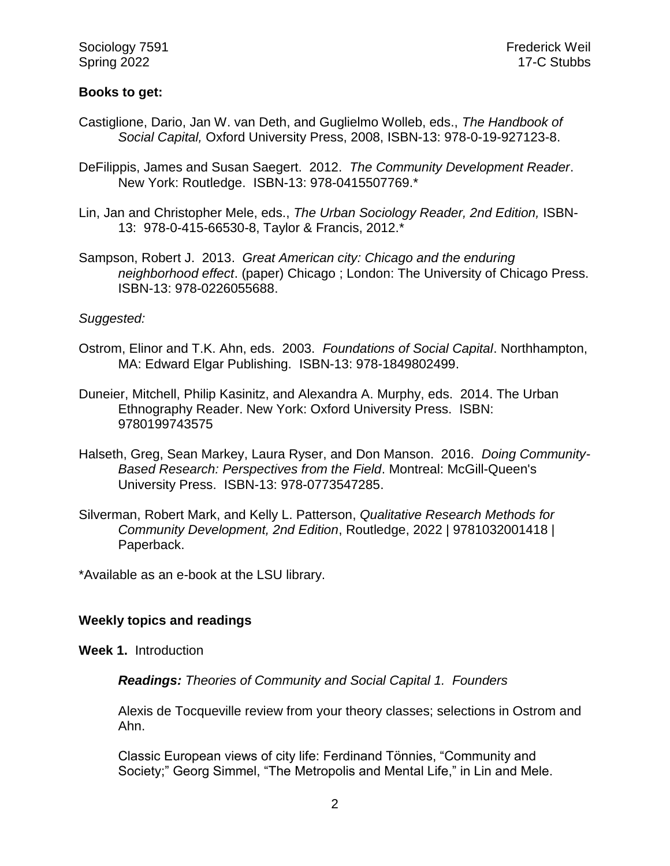# **Books to get:**

- Castiglione, Dario, Jan W. van Deth, and Guglielmo Wolleb, eds., *The Handbook of Social Capital,* Oxford University Press, 2008, ISBN-13: 978-0-19-927123-8.
- DeFilippis, James and Susan Saegert. 2012. *The Community Development Reader*. New York: Routledge. ISBN-13: 978-0415507769.\*
- Lin, Jan and Christopher Mele, eds., *The Urban Sociology Reader, 2nd Edition,* ISBN-13: 978-0-415-66530-8, Taylor & Francis, 2012.\*
- Sampson, Robert J. 2013. *Great American city: Chicago and the enduring neighborhood effect*. (paper) Chicago ; London: The University of Chicago Press. ISBN-13: 978-0226055688.

# *Suggested:*

- Ostrom, Elinor and T.K. Ahn, eds. 2003. *Foundations of Social Capital*. Northhampton, MA: Edward Elgar Publishing. ISBN-13: 978-1849802499.
- Duneier, Mitchell, Philip Kasinitz, and Alexandra A. Murphy, eds. 2014. The Urban Ethnography Reader. New York: Oxford University Press. ISBN: 9780199743575
- Halseth, Greg, Sean Markey, Laura Ryser, and Don Manson. 2016. *Doing Community-Based Research: Perspectives from the Field*. Montreal: McGill-Queen's University Press. ISBN-13: 978-0773547285.
- Silverman, Robert Mark, and Kelly L. Patterson, *Qualitative Research Methods for Community Development, 2nd Edition*, Routledge, 2022 | 9781032001418 | Paperback.

\*Available as an e-book at the LSU library.

#### **Weekly topics and readings**

**Week 1.** Introduction

*Readings: Theories of Community and Social Capital 1. Founders*

Alexis de Tocqueville review from your theory classes; selections in Ostrom and Ahn.

Classic European views of city life: Ferdinand Tönnies, "Community and Society;" Georg Simmel, "The Metropolis and Mental Life," in Lin and Mele.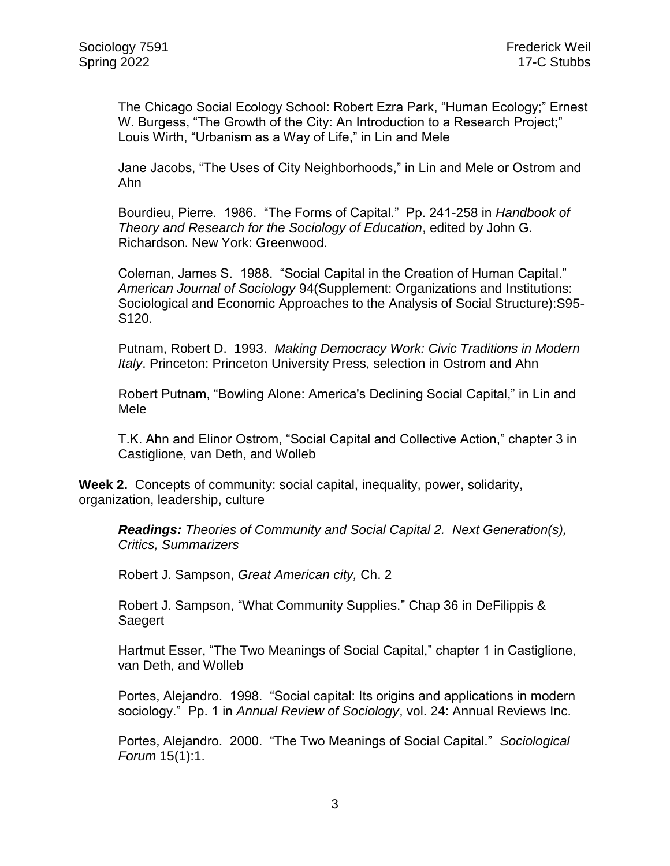The Chicago Social Ecology School: Robert Ezra Park, "Human Ecology;" Ernest W. Burgess, "The Growth of the City: An Introduction to a Research Project;" Louis Wirth, "Urbanism as a Way of Life," in Lin and Mele

Jane Jacobs, "The Uses of City Neighborhoods," in Lin and Mele or Ostrom and Ahn

Bourdieu, Pierre. 1986. "The Forms of Capital." Pp. 241-258 in *Handbook of Theory and Research for the Sociology of Education*, edited by John G. Richardson. New York: Greenwood.

Coleman, James S. 1988. "Social Capital in the Creation of Human Capital." *American Journal of Sociology* 94(Supplement: Organizations and Institutions: Sociological and Economic Approaches to the Analysis of Social Structure):S95- S120.

Putnam, Robert D. 1993. *Making Democracy Work: Civic Traditions in Modern Italy*. Princeton: Princeton University Press, selection in Ostrom and Ahn

Robert Putnam, "Bowling Alone: America's Declining Social Capital," in Lin and Mele

T.K. Ahn and Elinor Ostrom, "Social Capital and Collective Action," chapter 3 in Castiglione, van Deth, and Wolleb

**Week 2.** Concepts of community: social capital, inequality, power, solidarity, organization, leadership, culture

*Readings: Theories of Community and Social Capital 2. Next Generation(s), Critics, Summarizers*

Robert J. Sampson, *Great American city,* Ch. 2

Robert J. Sampson, "What Community Supplies." Chap 36 in DeFilippis & Saegert

Hartmut Esser, "The Two Meanings of Social Capital," chapter 1 in Castiglione, van Deth, and Wolleb

Portes, Alejandro. 1998. "Social capital: Its origins and applications in modern sociology." Pp. 1 in *Annual Review of Sociology*, vol. 24: Annual Reviews Inc.

Portes, Alejandro. 2000. "The Two Meanings of Social Capital." *Sociological Forum* 15(1):1.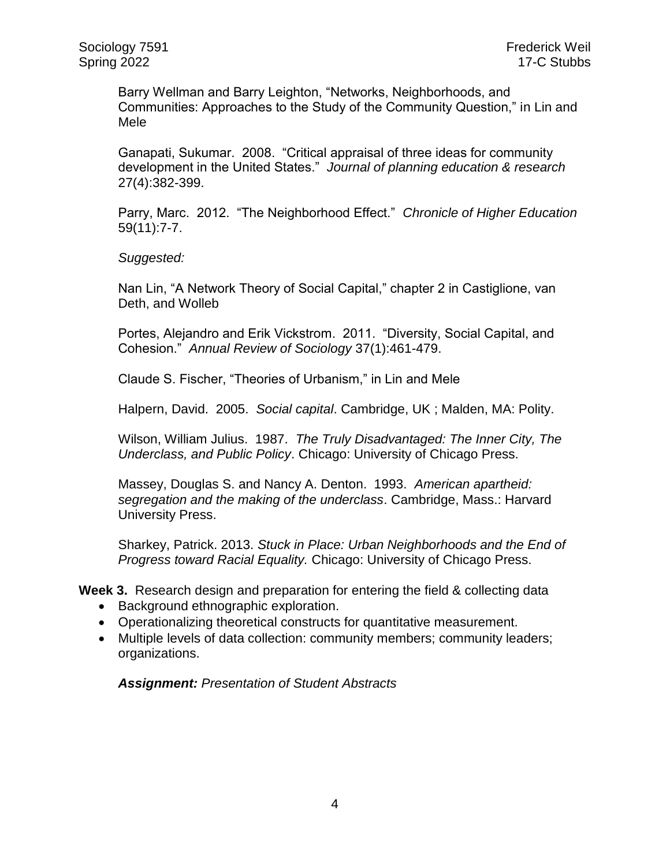Barry Wellman and Barry Leighton, "Networks, Neighborhoods, and Communities: Approaches to the Study of the Community Question," in Lin and Mele

Ganapati, Sukumar. 2008. "Critical appraisal of three ideas for community development in the United States." *Journal of planning education & research* 27(4):382-399.

Parry, Marc. 2012. "The Neighborhood Effect." *Chronicle of Higher Education* 59(11):7-7.

*Suggested:*

Nan Lin, "A Network Theory of Social Capital," chapter 2 in Castiglione, van Deth, and Wolleb

Portes, Alejandro and Erik Vickstrom. 2011. "Diversity, Social Capital, and Cohesion." *Annual Review of Sociology* 37(1):461-479.

Claude S. Fischer, "Theories of Urbanism," in Lin and Mele

Halpern, David. 2005. *Social capital*. Cambridge, UK ; Malden, MA: Polity.

Wilson, William Julius. 1987. *The Truly Disadvantaged: The Inner City, The Underclass, and Public Policy*. Chicago: University of Chicago Press.

Massey, Douglas S. and Nancy A. Denton. 1993. *American apartheid: segregation and the making of the underclass*. Cambridge, Mass.: Harvard University Press.

Sharkey, Patrick. 2013. *Stuck in Place: Urban Neighborhoods and the End of Progress toward Racial Equality.* Chicago: University of Chicago Press.

**Week 3.** Research design and preparation for entering the field & collecting data

- Background ethnographic exploration.
- Operationalizing theoretical constructs for quantitative measurement.
- Multiple levels of data collection: community members; community leaders; organizations.

*Assignment: Presentation of Student Abstracts*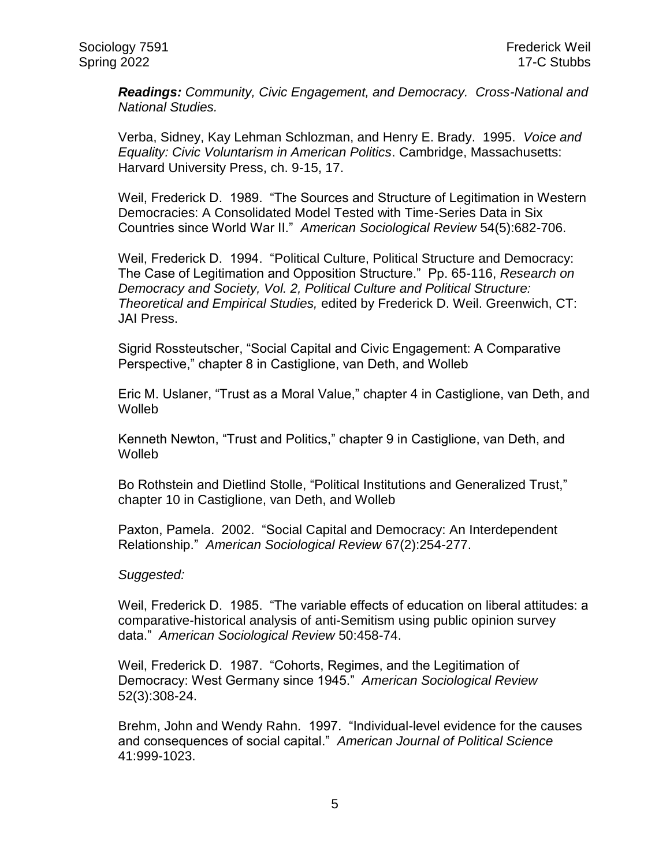*Readings: Community, Civic Engagement, and Democracy. Cross-National and National Studies.*

Verba, Sidney, Kay Lehman Schlozman, and Henry E. Brady. 1995. *Voice and Equality: Civic Voluntarism in American Politics*. Cambridge, Massachusetts: Harvard University Press, ch. 9-15, 17.

Weil, Frederick D. 1989. "The Sources and Structure of Legitimation in Western Democracies: A Consolidated Model Tested with Time-Series Data in Six Countries since World War II." *American Sociological Review* 54(5):682-706.

Weil, Frederick D. 1994. "Political Culture, Political Structure and Democracy: The Case of Legitimation and Opposition Structure." Pp. 65-116, *Research on Democracy and Society, Vol. 2, Political Culture and Political Structure: Theoretical and Empirical Studies,* edited by Frederick D. Weil. Greenwich, CT: JAI Press.

Sigrid Rossteutscher, "Social Capital and Civic Engagement: A Comparative Perspective," chapter 8 in Castiglione, van Deth, and Wolleb

Eric M. Uslaner, "Trust as a Moral Value," chapter 4 in Castiglione, van Deth, and Wolleb

Kenneth Newton, "Trust and Politics," chapter 9 in Castiglione, van Deth, and Wolleb

Bo Rothstein and Dietlind Stolle, "Political Institutions and Generalized Trust," chapter 10 in Castiglione, van Deth, and Wolleb

Paxton, Pamela. 2002. "Social Capital and Democracy: An Interdependent Relationship." *American Sociological Review* 67(2):254-277.

#### *Suggested:*

Weil, Frederick D. 1985. "The variable effects of education on liberal attitudes: a comparative-historical analysis of anti-Semitism using public opinion survey data." *American Sociological Review* 50:458-74.

Weil, Frederick D. 1987. "Cohorts, Regimes, and the Legitimation of Democracy: West Germany since 1945." *American Sociological Review* 52(3):308-24.

Brehm, John and Wendy Rahn. 1997. "Individual-level evidence for the causes and consequences of social capital." *American Journal of Political Science* 41:999-1023.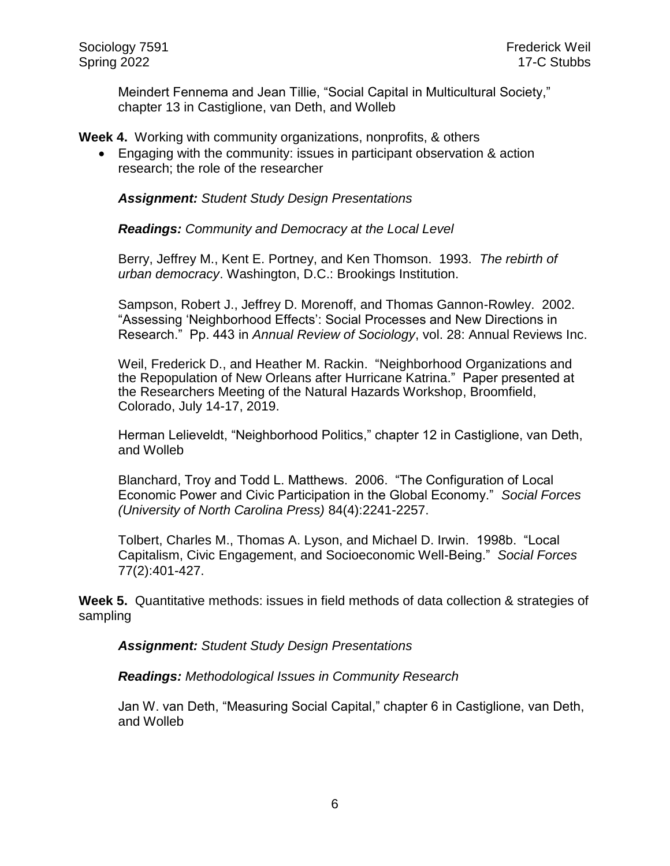Meindert Fennema and Jean Tillie, "Social Capital in Multicultural Society," chapter 13 in Castiglione, van Deth, and Wolleb

**Week 4.** Working with community organizations, nonprofits, & others

 Engaging with the community: issues in participant observation & action research; the role of the researcher

*Assignment: Student Study Design Presentations*

*Readings: Community and Democracy at the Local Level*

Berry, Jeffrey M., Kent E. Portney, and Ken Thomson. 1993. *The rebirth of urban democracy*. Washington, D.C.: Brookings Institution.

Sampson, Robert J., Jeffrey D. Morenoff, and Thomas Gannon-Rowley. 2002. "Assessing 'Neighborhood Effects': Social Processes and New Directions in Research." Pp. 443 in *Annual Review of Sociology*, vol. 28: Annual Reviews Inc.

Weil, Frederick D., and Heather M. Rackin. "Neighborhood Organizations and the Repopulation of New Orleans after Hurricane Katrina." Paper presented at the Researchers Meeting of the Natural Hazards Workshop, Broomfield, Colorado, July 14-17, 2019.

Herman Lelieveldt, "Neighborhood Politics," chapter 12 in Castiglione, van Deth, and Wolleb

Blanchard, Troy and Todd L. Matthews. 2006. "The Configuration of Local Economic Power and Civic Participation in the Global Economy." *Social Forces (University of North Carolina Press)* 84(4):2241-2257.

Tolbert, Charles M., Thomas A. Lyson, and Michael D. Irwin. 1998b. "Local Capitalism, Civic Engagement, and Socioeconomic Well-Being." *Social Forces* 77(2):401-427.

**Week 5.** Quantitative methods: issues in field methods of data collection & strategies of sampling

*Assignment: Student Study Design Presentations*

*Readings: Methodological Issues in Community Research*

Jan W. van Deth, "Measuring Social Capital," chapter 6 in Castiglione, van Deth, and Wolleb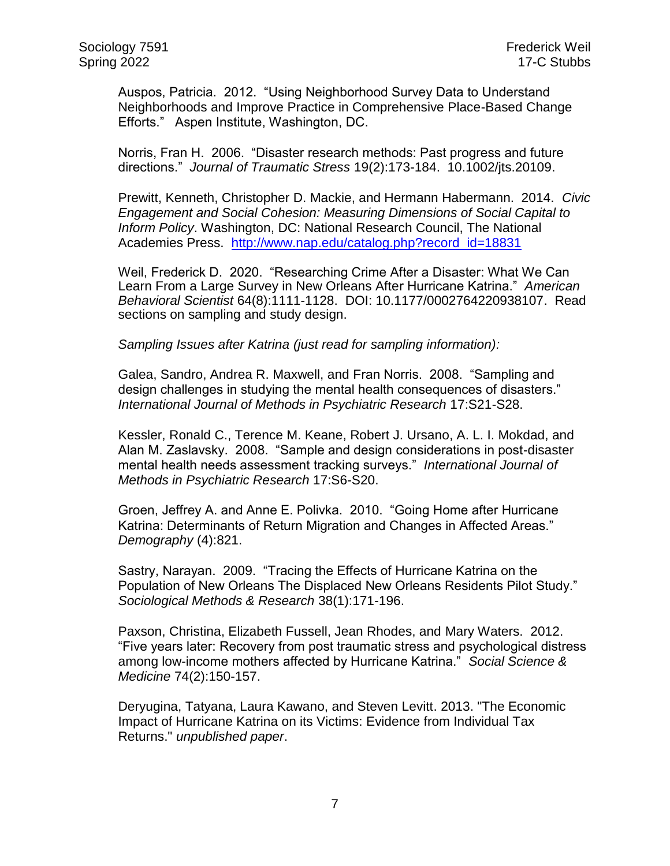Auspos, Patricia. 2012. "Using Neighborhood Survey Data to Understand Neighborhoods and Improve Practice in Comprehensive Place-Based Change Efforts." Aspen Institute, Washington, DC.

Norris, Fran H. 2006. "Disaster research methods: Past progress and future directions." *Journal of Traumatic Stress* 19(2):173-184. 10.1002/jts.20109.

Prewitt, Kenneth, Christopher D. Mackie, and Hermann Habermann. 2014. *Civic Engagement and Social Cohesion: Measuring Dimensions of Social Capital to Inform Policy*. Washington, DC: National Research Council, The National Academies Press. [http://www.nap.edu/catalog.php?record\\_id=18831](http://www.nap.edu/catalog.php?record_id=18831)

Weil, Frederick D. 2020. "Researching Crime After a Disaster: What We Can Learn From a Large Survey in New Orleans After Hurricane Katrina." *American Behavioral Scientist* 64(8):1111-1128. DOI: 10.1177/0002764220938107. Read sections on sampling and study design.

*Sampling Issues after Katrina (just read for sampling information):*

Galea, Sandro, Andrea R. Maxwell, and Fran Norris. 2008. "Sampling and design challenges in studying the mental health consequences of disasters." *International Journal of Methods in Psychiatric Research* 17:S21-S28.

Kessler, Ronald C., Terence M. Keane, Robert J. Ursano, A. L. I. Mokdad, and Alan M. Zaslavsky. 2008. "Sample and design considerations in post-disaster mental health needs assessment tracking surveys." *International Journal of Methods in Psychiatric Research* 17:S6-S20.

Groen, Jeffrey A. and Anne E. Polivka. 2010. "Going Home after Hurricane Katrina: Determinants of Return Migration and Changes in Affected Areas." *Demography* (4):821.

Sastry, Narayan. 2009. "Tracing the Effects of Hurricane Katrina on the Population of New Orleans The Displaced New Orleans Residents Pilot Study." *Sociological Methods & Research* 38(1):171-196.

Paxson, Christina, Elizabeth Fussell, Jean Rhodes, and Mary Waters. 2012. "Five years later: Recovery from post traumatic stress and psychological distress among low-income mothers affected by Hurricane Katrina." *Social Science & Medicine* 74(2):150-157.

Deryugina, Tatyana, Laura Kawano, and Steven Levitt. 2013. "The Economic Impact of Hurricane Katrina on its Victims: Evidence from Individual Tax Returns." *unpublished paper*.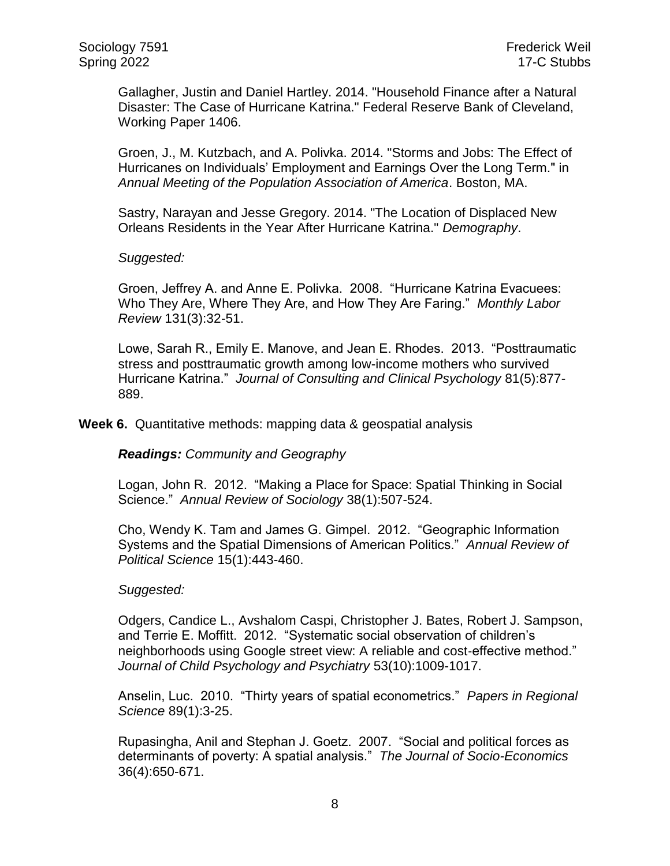Gallagher, Justin and Daniel Hartley. 2014. "Household Finance after a Natural Disaster: The Case of Hurricane Katrina." Federal Reserve Bank of Cleveland, Working Paper 1406.

Groen, J., M. Kutzbach, and A. Polivka. 2014. "Storms and Jobs: The Effect of Hurricanes on Individuals' Employment and Earnings Over the Long Term." in *Annual Meeting of the Population Association of America*. Boston, MA.

Sastry, Narayan and Jesse Gregory. 2014. "The Location of Displaced New Orleans Residents in the Year After Hurricane Katrina." *Demography*.

#### *Suggested:*

Groen, Jeffrey A. and Anne E. Polivka. 2008. "Hurricane Katrina Evacuees: Who They Are, Where They Are, and How They Are Faring." *Monthly Labor Review* 131(3):32-51.

Lowe, Sarah R., Emily E. Manove, and Jean E. Rhodes. 2013. "Posttraumatic stress and posttraumatic growth among low-income mothers who survived Hurricane Katrina." *Journal of Consulting and Clinical Psychology* 81(5):877- 889.

**Week 6.** Quantitative methods: mapping data & geospatial analysis

*Readings: Community and Geography*

Logan, John R. 2012. "Making a Place for Space: Spatial Thinking in Social Science." *Annual Review of Sociology* 38(1):507-524.

Cho, Wendy K. Tam and James G. Gimpel. 2012. "Geographic Information Systems and the Spatial Dimensions of American Politics." *Annual Review of Political Science* 15(1):443-460.

#### *Suggested:*

Odgers, Candice L., Avshalom Caspi, Christopher J. Bates, Robert J. Sampson, and Terrie E. Moffitt. 2012. "Systematic social observation of children's neighborhoods using Google street view: A reliable and cost-effective method." *Journal of Child Psychology and Psychiatry* 53(10):1009-1017.

Anselin, Luc. 2010. "Thirty years of spatial econometrics." *Papers in Regional Science* 89(1):3-25.

Rupasingha, Anil and Stephan J. Goetz. 2007. "Social and political forces as determinants of poverty: A spatial analysis." *The Journal of Socio-Economics* 36(4):650-671.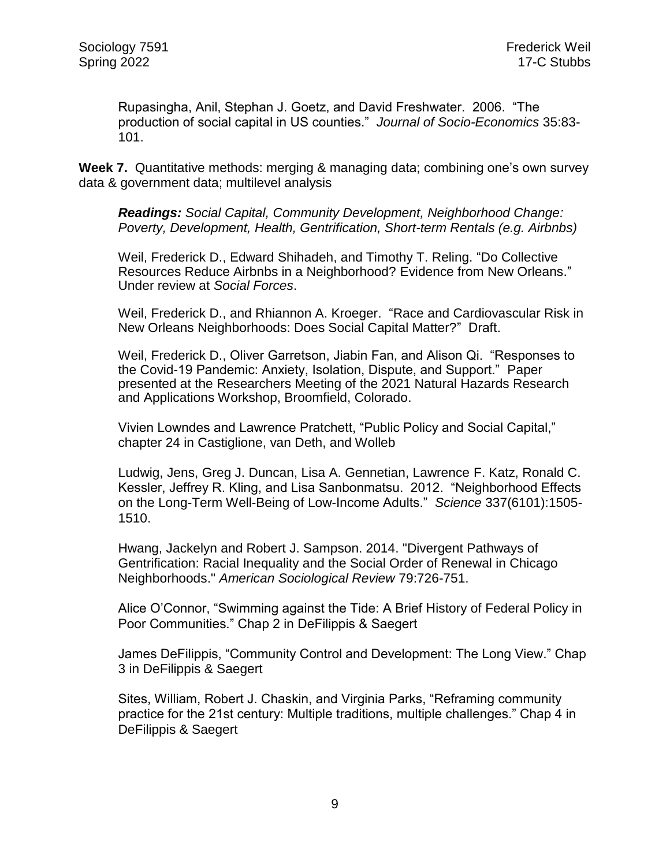Rupasingha, Anil, Stephan J. Goetz, and David Freshwater. 2006. "The production of social capital in US counties." *Journal of Socio-Economics* 35:83- 101.

**Week 7.** Quantitative methods: merging & managing data; combining one's own survey data & government data; multilevel analysis

*Readings: Social Capital, Community Development, Neighborhood Change: Poverty, Development, Health, Gentrification, Short-term Rentals (e.g. Airbnbs)*

Weil, Frederick D., Edward Shihadeh, and Timothy T. Reling. "Do Collective Resources Reduce Airbnbs in a Neighborhood? Evidence from New Orleans." Under review at *Social Forces*.

Weil, Frederick D., and Rhiannon A. Kroeger. "Race and Cardiovascular Risk in New Orleans Neighborhoods: Does Social Capital Matter?" Draft.

Weil, Frederick D., Oliver Garretson, Jiabin Fan, and Alison Qi. "Responses to the Covid-19 Pandemic: Anxiety, Isolation, Dispute, and Support." Paper presented at the Researchers Meeting of the 2021 Natural Hazards Research and Applications Workshop, Broomfield, Colorado.

Vivien Lowndes and Lawrence Pratchett, "Public Policy and Social Capital," chapter 24 in Castiglione, van Deth, and Wolleb

Ludwig, Jens, Greg J. Duncan, Lisa A. Gennetian, Lawrence F. Katz, Ronald C. Kessler, Jeffrey R. Kling, and Lisa Sanbonmatsu. 2012. "Neighborhood Effects on the Long-Term Well-Being of Low-Income Adults." *Science* 337(6101):1505- 1510.

Hwang, Jackelyn and Robert J. Sampson. 2014. "Divergent Pathways of Gentrification: Racial Inequality and the Social Order of Renewal in Chicago Neighborhoods." *American Sociological Review* 79:726-751.

Alice O'Connor, "Swimming against the Tide: A Brief History of Federal Policy in Poor Communities." Chap 2 in DeFilippis & Saegert

James DeFilippis, "Community Control and Development: The Long View." Chap 3 in DeFilippis & Saegert

Sites, William, Robert J. Chaskin, and Virginia Parks, "Reframing community practice for the 21st century: Multiple traditions, multiple challenges." Chap 4 in DeFilippis & Saegert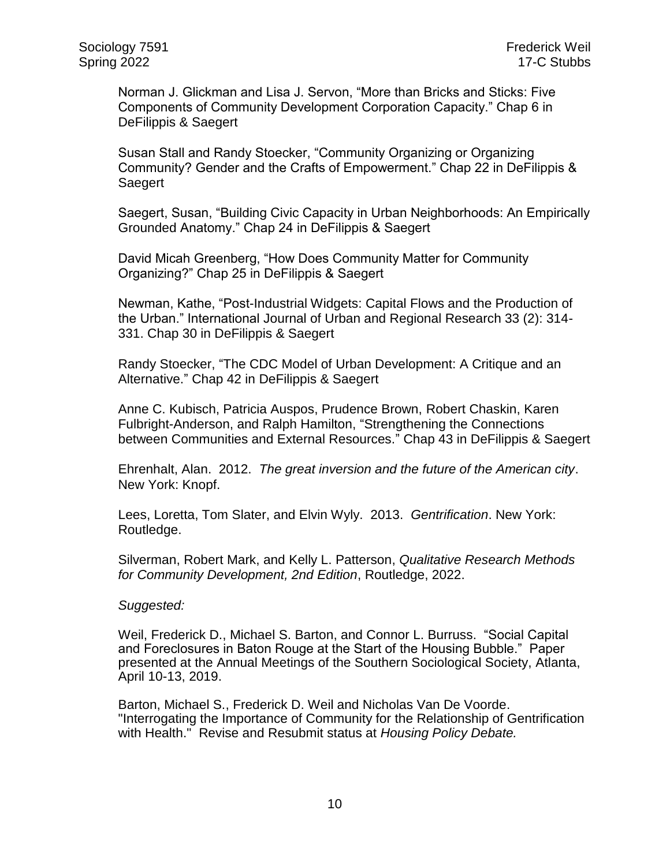Norman J. Glickman and Lisa J. Servon, "More than Bricks and Sticks: Five Components of Community Development Corporation Capacity." Chap 6 in DeFilippis & Saegert

Susan Stall and Randy Stoecker, "Community Organizing or Organizing Community? Gender and the Crafts of Empowerment." Chap 22 in DeFilippis & Saegert

Saegert, Susan, "Building Civic Capacity in Urban Neighborhoods: An Empirically Grounded Anatomy." Chap 24 in DeFilippis & Saegert

David Micah Greenberg, "How Does Community Matter for Community Organizing?" Chap 25 in DeFilippis & Saegert

Newman, Kathe, "Post-Industrial Widgets: Capital Flows and the Production of the Urban." International Journal of Urban and Regional Research 33 (2): 314- 331. Chap 30 in DeFilippis & Saegert

Randy Stoecker, "The CDC Model of Urban Development: A Critique and an Alternative." Chap 42 in DeFilippis & Saegert

Anne C. Kubisch, Patricia Auspos, Prudence Brown, Robert Chaskin, Karen Fulbright-Anderson, and Ralph Hamilton, "Strengthening the Connections between Communities and External Resources." Chap 43 in DeFilippis & Saegert

Ehrenhalt, Alan. 2012. *The great inversion and the future of the American city*. New York: Knopf.

Lees, Loretta, Tom Slater, and Elvin Wyly. 2013. *Gentrification*. New York: Routledge.

Silverman, Robert Mark, and Kelly L. Patterson, *Qualitative Research Methods for Community Development, 2nd Edition*, Routledge, 2022.

#### *Suggested:*

Weil, Frederick D., Michael S. Barton, and Connor L. Burruss. "Social Capital and Foreclosures in Baton Rouge at the Start of the Housing Bubble." Paper presented at the Annual Meetings of the Southern Sociological Society, Atlanta, April 10-13, 2019.

Barton, Michael S., Frederick D. Weil and Nicholas Van De Voorde. "Interrogating the Importance of Community for the Relationship of Gentrification with Health." Revise and Resubmit status at *Housing Policy Debate.*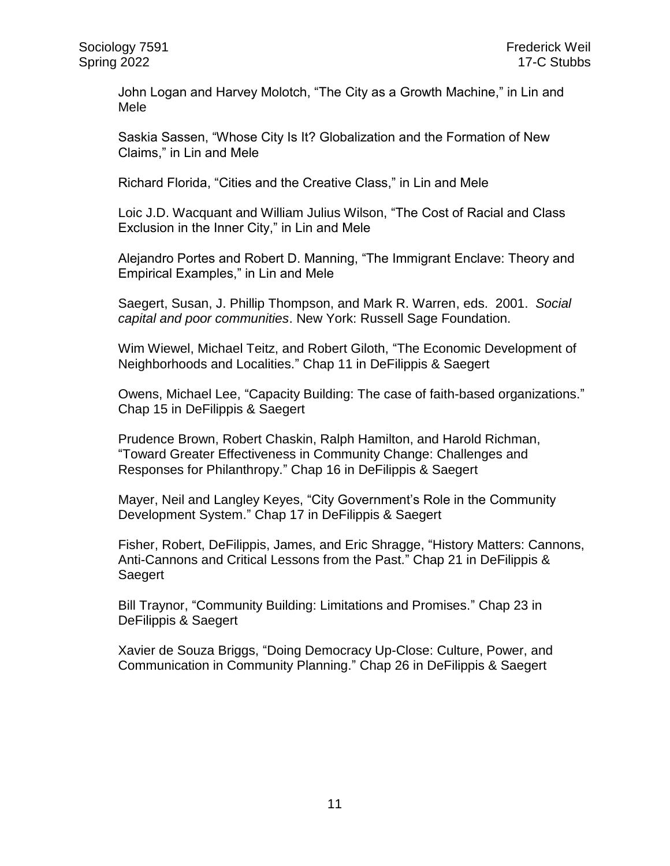John Logan and Harvey Molotch, "The City as a Growth Machine," in Lin and Mele

Saskia Sassen, "Whose City Is It? Globalization and the Formation of New Claims," in Lin and Mele

Richard Florida, "Cities and the Creative Class," in Lin and Mele

Loic J.D. Wacquant and William Julius Wilson, "The Cost of Racial and Class Exclusion in the Inner City," in Lin and Mele

Alejandro Portes and Robert D. Manning, "The Immigrant Enclave: Theory and Empirical Examples," in Lin and Mele

Saegert, Susan, J. Phillip Thompson, and Mark R. Warren, eds. 2001. *Social capital and poor communities*. New York: Russell Sage Foundation.

Wim Wiewel, Michael Teitz, and Robert Giloth, "The Economic Development of Neighborhoods and Localities." Chap 11 in DeFilippis & Saegert

Owens, Michael Lee, "Capacity Building: The case of faith-based organizations." Chap 15 in DeFilippis & Saegert

Prudence Brown, Robert Chaskin, Ralph Hamilton, and Harold Richman, "Toward Greater Effectiveness in Community Change: Challenges and Responses for Philanthropy." Chap 16 in DeFilippis & Saegert

Mayer, Neil and Langley Keyes, "City Government's Role in the Community Development System." Chap 17 in DeFilippis & Saegert

Fisher, Robert, DeFilippis, James, and Eric Shragge, "History Matters: Cannons, Anti-Cannons and Critical Lessons from the Past." Chap 21 in DeFilippis & Saegert

Bill Traynor, "Community Building: Limitations and Promises." Chap 23 in DeFilippis & Saegert

Xavier de Souza Briggs, "Doing Democracy Up-Close: Culture, Power, and Communication in Community Planning." Chap 26 in DeFilippis & Saegert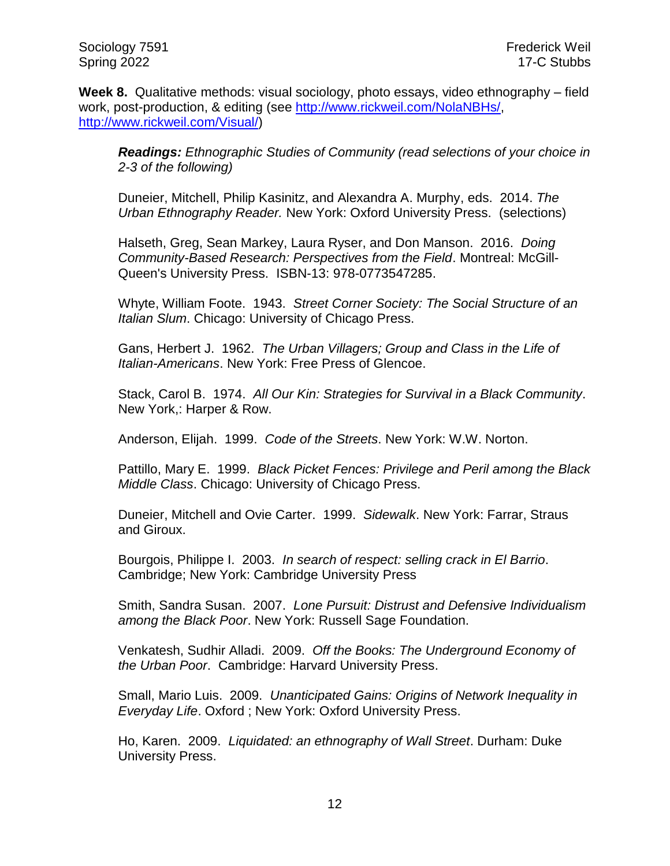Sociology 7591 Frederick Weil Spring 2022 17-C Stubbs

**Week 8.** Qualitative methods: visual sociology, photo essays, video ethnography – field work, post-production, & editing (see [http://www.rickweil.com/NolaNBHs/,](http://www.rickweil.com/NolaNBHs/) [http://www.rickweil.com/Visual/\)](http://www.rickweil.com/Visual/)

*Readings: Ethnographic Studies of Community (read selections of your choice in 2-3 of the following)*

Duneier, Mitchell, Philip Kasinitz, and Alexandra A. Murphy, eds. 2014. *The Urban Ethnography Reader.* New York: Oxford University Press. (selections)

Halseth, Greg, Sean Markey, Laura Ryser, and Don Manson. 2016. *Doing Community-Based Research: Perspectives from the Field*. Montreal: McGill-Queen's University Press. ISBN-13: 978-0773547285.

Whyte, William Foote. 1943. *Street Corner Society: The Social Structure of an Italian Slum*. Chicago: University of Chicago Press.

Gans, Herbert J. 1962. *The Urban Villagers; Group and Class in the Life of Italian-Americans*. New York: Free Press of Glencoe.

Stack, Carol B. 1974. *All Our Kin: Strategies for Survival in a Black Community*. New York,: Harper & Row.

Anderson, Elijah. 1999. *Code of the Streets*. New York: W.W. Norton.

Pattillo, Mary E. 1999. *Black Picket Fences: Privilege and Peril among the Black Middle Class*. Chicago: University of Chicago Press.

Duneier, Mitchell and Ovie Carter. 1999. *Sidewalk*. New York: Farrar, Straus and Giroux.

Bourgois, Philippe I. 2003. *In search of respect: selling crack in El Barrio*. Cambridge; New York: Cambridge University Press

Smith, Sandra Susan. 2007. *Lone Pursuit: Distrust and Defensive Individualism among the Black Poor*. New York: Russell Sage Foundation.

Venkatesh, Sudhir Alladi. 2009. *Off the Books: The Underground Economy of the Urban Poor*. Cambridge: Harvard University Press.

Small, Mario Luis. 2009. *Unanticipated Gains: Origins of Network Inequality in Everyday Life*. Oxford ; New York: Oxford University Press.

Ho, Karen. 2009. *Liquidated: an ethnography of Wall Street*. Durham: Duke University Press.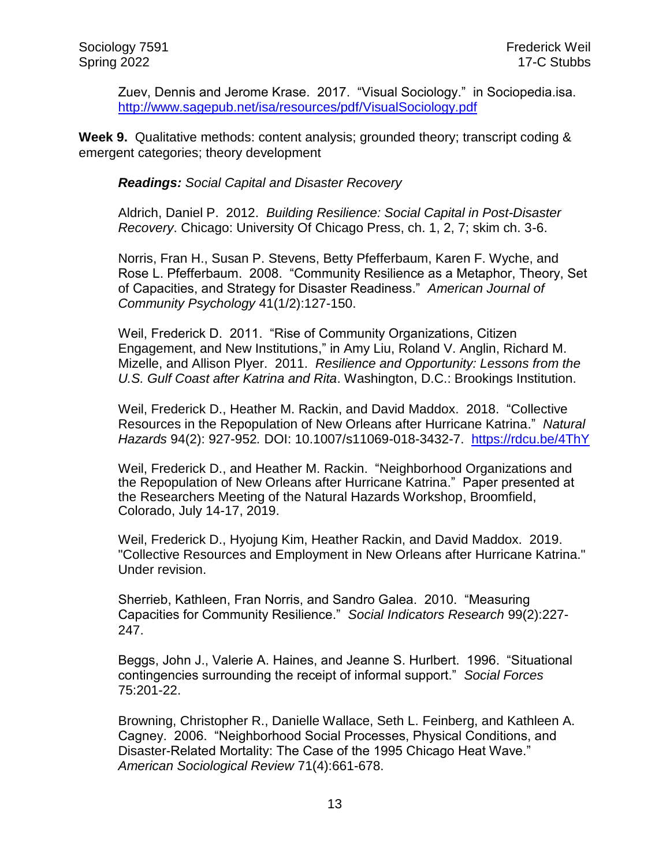Zuev, Dennis and Jerome Krase. 2017. "Visual Sociology." in Sociopedia.isa. <http://www.sagepub.net/isa/resources/pdf/VisualSociology.pdf>

**Week 9.** Qualitative methods: content analysis; grounded theory; transcript coding & emergent categories; theory development

*Readings: Social Capital and Disaster Recovery*

Aldrich, Daniel P. 2012. *Building Resilience: Social Capital in Post-Disaster Recovery*. Chicago: University Of Chicago Press, ch. 1, 2, 7; skim ch. 3-6.

Norris, Fran H., Susan P. Stevens, Betty Pfefferbaum, Karen F. Wyche, and Rose L. Pfefferbaum. 2008. "Community Resilience as a Metaphor, Theory, Set of Capacities, and Strategy for Disaster Readiness." *American Journal of Community Psychology* 41(1/2):127-150.

Weil, Frederick D. 2011. "Rise of Community Organizations, Citizen Engagement, and New Institutions," in Amy Liu, Roland V. Anglin, Richard M. Mizelle, and Allison Plyer. 2011. *Resilience and Opportunity: Lessons from the U.S. Gulf Coast after Katrina and Rita*. Washington, D.C.: Brookings Institution.

Weil, Frederick D., Heather M. Rackin, and David Maddox. 2018. "Collective Resources in the Repopulation of New Orleans after Hurricane Katrina." *Natural Hazards* 94(2): 927-952*.* DOI: 10.1007/s11069-018-3432-7. <https://rdcu.be/4ThY>

Weil, Frederick D., and Heather M. Rackin. "Neighborhood Organizations and the Repopulation of New Orleans after Hurricane Katrina." Paper presented at the Researchers Meeting of the Natural Hazards Workshop, Broomfield, Colorado, July 14-17, 2019.

Weil, Frederick D., Hyojung Kim, Heather Rackin, and David Maddox. 2019. "Collective Resources and Employment in New Orleans after Hurricane Katrina." Under revision.

Sherrieb, Kathleen, Fran Norris, and Sandro Galea. 2010. "Measuring Capacities for Community Resilience." *Social Indicators Research* 99(2):227- 247.

Beggs, John J., Valerie A. Haines, and Jeanne S. Hurlbert. 1996. "Situational contingencies surrounding the receipt of informal support." *Social Forces* 75:201-22.

Browning, Christopher R., Danielle Wallace, Seth L. Feinberg, and Kathleen A. Cagney. 2006. "Neighborhood Social Processes, Physical Conditions, and Disaster-Related Mortality: The Case of the 1995 Chicago Heat Wave." *American Sociological Review* 71(4):661-678.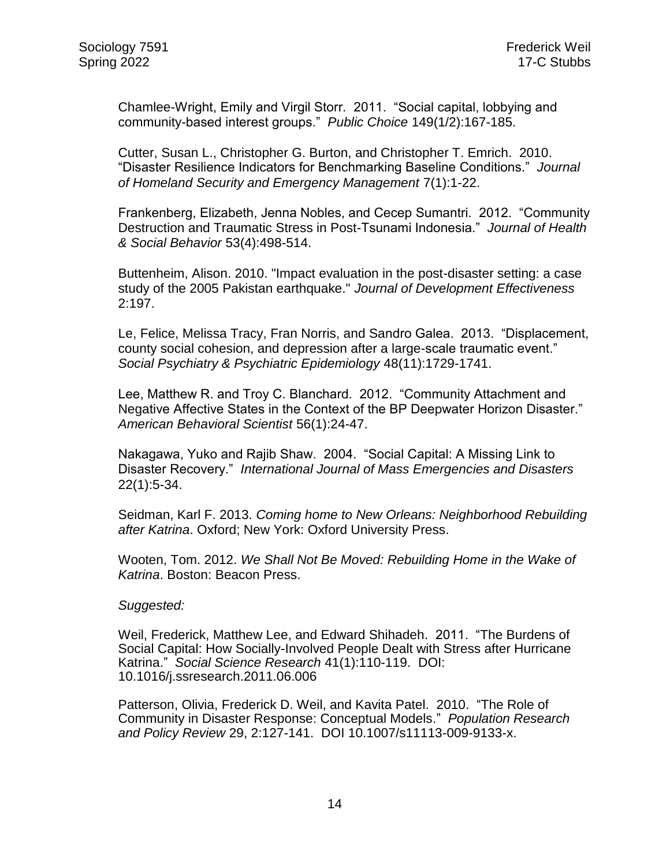Chamlee-Wright, Emily and Virgil Storr. 2011. "Social capital, lobbying and community-based interest groups." *Public Choice* 149(1/2):167-185.

Cutter, Susan L., Christopher G. Burton, and Christopher T. Emrich. 2010. "Disaster Resilience Indicators for Benchmarking Baseline Conditions." *Journal of Homeland Security and Emergency Management* 7(1):1-22.

Frankenberg, Elizabeth, Jenna Nobles, and Cecep Sumantri. 2012. "Community Destruction and Traumatic Stress in Post-Tsunami Indonesia." *Journal of Health & Social Behavior* 53(4):498-514.

Buttenheim, Alison. 2010. "Impact evaluation in the post-disaster setting: a case study of the 2005 Pakistan earthquake." *Journal of Development Effectiveness* 2:197.

Le, Felice, Melissa Tracy, Fran Norris, and Sandro Galea. 2013. "Displacement, county social cohesion, and depression after a large-scale traumatic event." *Social Psychiatry & Psychiatric Epidemiology* 48(11):1729-1741.

Lee, Matthew R. and Troy C. Blanchard. 2012. "Community Attachment and Negative Affective States in the Context of the BP Deepwater Horizon Disaster." *American Behavioral Scientist* 56(1):24-47.

Nakagawa, Yuko and Rajib Shaw. 2004. "Social Capital: A Missing Link to Disaster Recovery." *International Journal of Mass Emergencies and Disasters* 22(1):5-34.

Seidman, Karl F. 2013. *Coming home to New Orleans: Neighborhood Rebuilding after Katrina*. Oxford; New York: Oxford University Press.

Wooten, Tom. 2012. *We Shall Not Be Moved: Rebuilding Home in the Wake of Katrina*. Boston: Beacon Press.

#### *Suggested:*

Weil, Frederick, Matthew Lee, and Edward Shihadeh. 2011. "The Burdens of Social Capital: How Socially-Involved People Dealt with Stress after Hurricane Katrina." *Social Science Research* 41(1):110-119. DOI: 10.1016/j.ssresearch.2011.06.006

Patterson, Olivia, Frederick D. Weil, and Kavita Patel. 2010. "The Role of Community in Disaster Response: Conceptual Models." *Population Research and Policy Review* 29, 2:127-141. DOI 10.1007/s11113-009-9133-x.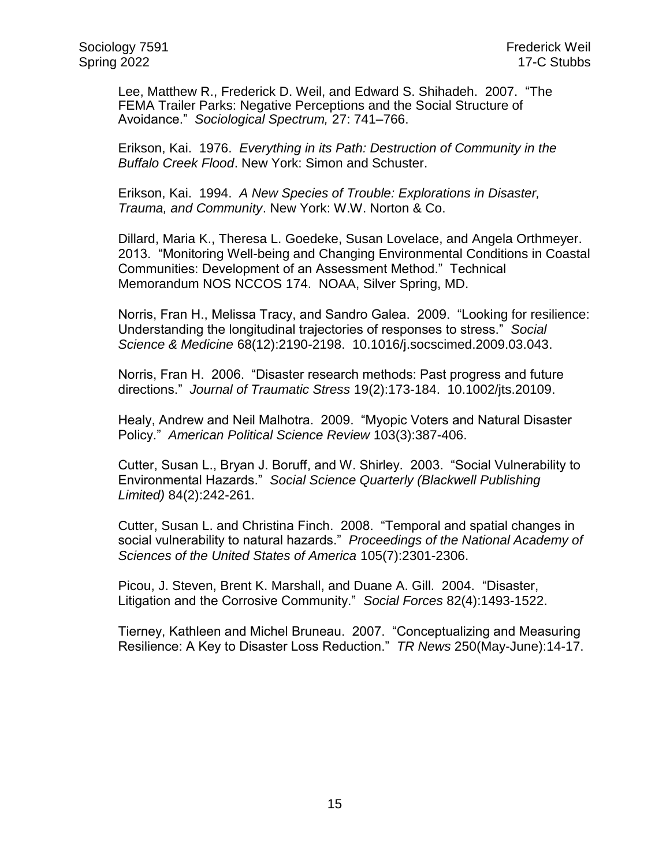Lee, Matthew R., Frederick D. Weil, and Edward S. Shihadeh. 2007. "The FEMA Trailer Parks: Negative Perceptions and the Social Structure of Avoidance." *Sociological Spectrum,* 27: 741–766.

Erikson, Kai. 1976. *Everything in its Path: Destruction of Community in the Buffalo Creek Flood*. New York: Simon and Schuster.

Erikson, Kai. 1994. *A New Species of Trouble: Explorations in Disaster, Trauma, and Community*. New York: W.W. Norton & Co.

Dillard, Maria K., Theresa L. Goedeke, Susan Lovelace, and Angela Orthmeyer. 2013. "Monitoring Well-being and Changing Environmental Conditions in Coastal Communities: Development of an Assessment Method." Technical Memorandum NOS NCCOS 174. NOAA, Silver Spring, MD.

Norris, Fran H., Melissa Tracy, and Sandro Galea. 2009. "Looking for resilience: Understanding the longitudinal trajectories of responses to stress." *Social Science & Medicine* 68(12):2190-2198. 10.1016/j.socscimed.2009.03.043.

Norris, Fran H. 2006. "Disaster research methods: Past progress and future directions." *Journal of Traumatic Stress* 19(2):173-184. 10.1002/jts.20109.

Healy, Andrew and Neil Malhotra. 2009. "Myopic Voters and Natural Disaster Policy." *American Political Science Review* 103(3):387-406.

Cutter, Susan L., Bryan J. Boruff, and W. Shirley. 2003. "Social Vulnerability to Environmental Hazards." *Social Science Quarterly (Blackwell Publishing Limited)* 84(2):242-261.

Cutter, Susan L. and Christina Finch. 2008. "Temporal and spatial changes in social vulnerability to natural hazards." *Proceedings of the National Academy of Sciences of the United States of America* 105(7):2301-2306.

Picou, J. Steven, Brent K. Marshall, and Duane A. Gill. 2004. "Disaster, Litigation and the Corrosive Community." *Social Forces* 82(4):1493-1522.

Tierney, Kathleen and Michel Bruneau. 2007. "Conceptualizing and Measuring Resilience: A Key to Disaster Loss Reduction." *TR News* 250(May-June):14-17.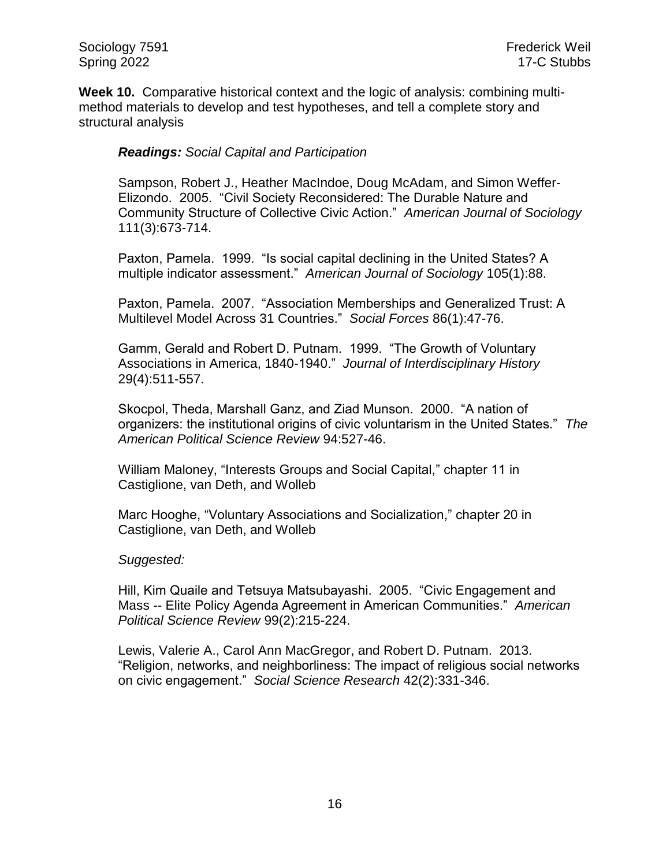Sociology 7591 Frederick Weil Spring 2022 **17-C Stubbs** 

**Week 10.** Comparative historical context and the logic of analysis: combining multimethod materials to develop and test hypotheses, and tell a complete story and structural analysis

# *Readings: Social Capital and Participation*

Sampson, Robert J., Heather MacIndoe, Doug McAdam, and Simon Weffer-Elizondo. 2005. "Civil Society Reconsidered: The Durable Nature and Community Structure of Collective Civic Action." *American Journal of Sociology* 111(3):673-714.

Paxton, Pamela. 1999. "Is social capital declining in the United States? A multiple indicator assessment." *American Journal of Sociology* 105(1):88.

Paxton, Pamela. 2007. "Association Memberships and Generalized Trust: A Multilevel Model Across 31 Countries." *Social Forces* 86(1):47-76.

Gamm, Gerald and Robert D. Putnam. 1999. "The Growth of Voluntary Associations in America, 1840-1940." *Journal of Interdisciplinary History* 29(4):511-557.

Skocpol, Theda, Marshall Ganz, and Ziad Munson. 2000. "A nation of organizers: the institutional origins of civic voluntarism in the United States." *The American Political Science Review* 94:527-46.

William Maloney, "Interests Groups and Social Capital," chapter 11 in Castiglione, van Deth, and Wolleb

Marc Hooghe, "Voluntary Associations and Socialization," chapter 20 in Castiglione, van Deth, and Wolleb

#### *Suggested:*

Hill, Kim Quaile and Tetsuya Matsubayashi. 2005. "Civic Engagement and Mass -- Elite Policy Agenda Agreement in American Communities." *American Political Science Review* 99(2):215-224.

Lewis, Valerie A., Carol Ann MacGregor, and Robert D. Putnam. 2013. "Religion, networks, and neighborliness: The impact of religious social networks on civic engagement." *Social Science Research* 42(2):331-346.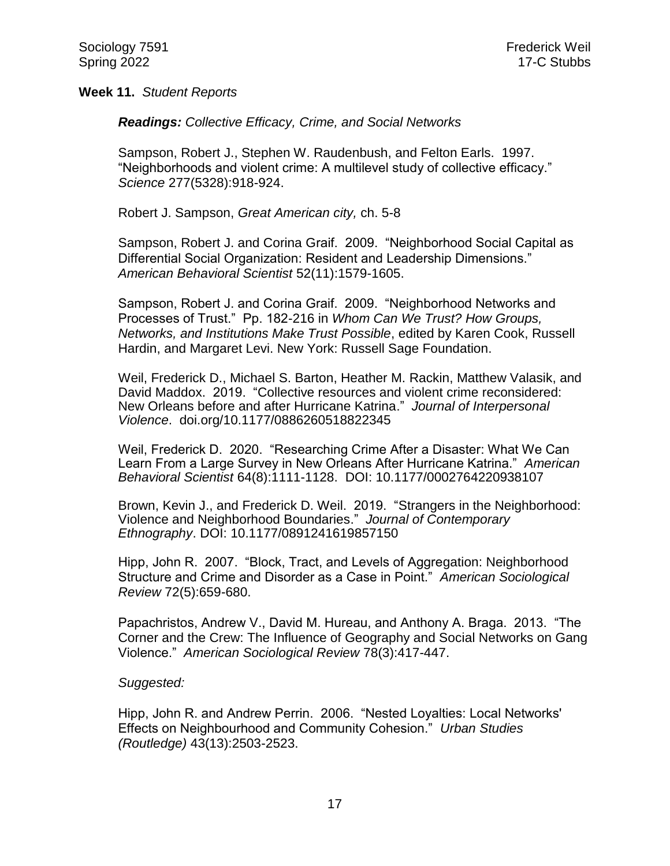#### **Week 11.** *Student Reports*

*Readings: Collective Efficacy, Crime, and Social Networks*

Sampson, Robert J., Stephen W. Raudenbush, and Felton Earls. 1997. "Neighborhoods and violent crime: A multilevel study of collective efficacy." *Science* 277(5328):918-924.

Robert J. Sampson, *Great American city,* ch. 5-8

Sampson, Robert J. and Corina Graif. 2009. "Neighborhood Social Capital as Differential Social Organization: Resident and Leadership Dimensions." *American Behavioral Scientist* 52(11):1579-1605.

Sampson, Robert J. and Corina Graif. 2009. "Neighborhood Networks and Processes of Trust." Pp. 182-216 in *Whom Can We Trust? How Groups, Networks, and Institutions Make Trust Possible*, edited by Karen Cook, Russell Hardin, and Margaret Levi. New York: Russell Sage Foundation.

Weil, Frederick D., Michael S. Barton, Heather M. Rackin, Matthew Valasik, and David Maddox. 2019. "Collective resources and violent crime reconsidered: New Orleans before and after Hurricane Katrina." *Journal of Interpersonal Violence*. doi.org/10.1177/0886260518822345

Weil, Frederick D. 2020. "Researching Crime After a Disaster: What We Can Learn From a Large Survey in New Orleans After Hurricane Katrina." *American Behavioral Scientist* 64(8):1111-1128. DOI: 10.1177/0002764220938107

Brown, Kevin J., and Frederick D. Weil. 2019. "Strangers in the Neighborhood: Violence and Neighborhood Boundaries." *Journal of Contemporary Ethnography*. DOI: 10.1177/0891241619857150

Hipp, John R. 2007. "Block, Tract, and Levels of Aggregation: Neighborhood Structure and Crime and Disorder as a Case in Point." *American Sociological Review* 72(5):659-680.

Papachristos, Andrew V., David M. Hureau, and Anthony A. Braga. 2013. "The Corner and the Crew: The Influence of Geography and Social Networks on Gang Violence." *American Sociological Review* 78(3):417-447.

#### *Suggested:*

Hipp, John R. and Andrew Perrin. 2006. "Nested Loyalties: Local Networks' Effects on Neighbourhood and Community Cohesion." *Urban Studies (Routledge)* 43(13):2503-2523.